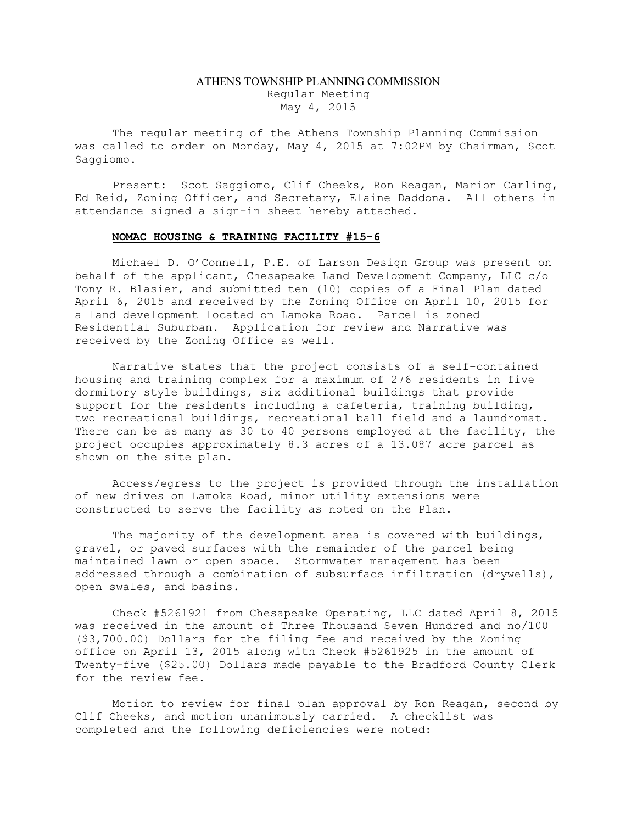## ATHENS TOWNSHIP PLANNING COMMISSION Regular Meeting May 4, 2015

The regular meeting of the Athens Township Planning Commission was called to order on Monday, May 4, 2015 at 7:02PM by Chairman, Scot Saggiomo.

Present: Scot Saggiomo, Clif Cheeks, Ron Reagan, Marion Carling, Ed Reid, Zoning Officer, and Secretary, Elaine Daddona. All others in attendance signed a sign-in sheet hereby attached.

## NOMAC HOUSING & TRAINING FACILITY #15-6

Michael D. O'Connell, P.E. of Larson Design Group was present on behalf of the applicant, Chesapeake Land Development Company, LLC c/o Tony R. Blasier, and submitted ten (10) copies of a Final Plan dated April 6, 2015 and received by the Zoning Office on April 10, 2015 for a land development located on Lamoka Road. Parcel is zoned Residential Suburban. Application for review and Narrative was received by the Zoning Office as well.

Narrative states that the project consists of a self-contained housing and training complex for a maximum of 276 residents in five dormitory style buildings, six additional buildings that provide support for the residents including a cafeteria, training building, two recreational buildings, recreational ball field and a laundromat. There can be as many as 30 to 40 persons employed at the facility, the project occupies approximately 8.3 acres of a 13.087 acre parcel as shown on the site plan.

Access/egress to the project is provided through the installation of new drives on Lamoka Road, minor utility extensions were constructed to serve the facility as noted on the Plan.

The majority of the development area is covered with buildings, gravel, or paved surfaces with the remainder of the parcel being maintained lawn or open space. Stormwater management has been addressed through a combination of subsurface infiltration (drywells), open swales, and basins.

Check #5261921 from Chesapeake Operating, LLC dated April 8, 2015 was received in the amount of Three Thousand Seven Hundred and no/100 (\$3,700.00) Dollars for the filing fee and received by the Zoning office on April 13, 2015 along with Check #5261925 in the amount of Twenty-five (\$25.00) Dollars made payable to the Bradford County Clerk for the review fee.

Motion to review for final plan approval by Ron Reagan, second by Clif Cheeks, and motion unanimously carried. A checklist was completed and the following deficiencies were noted: